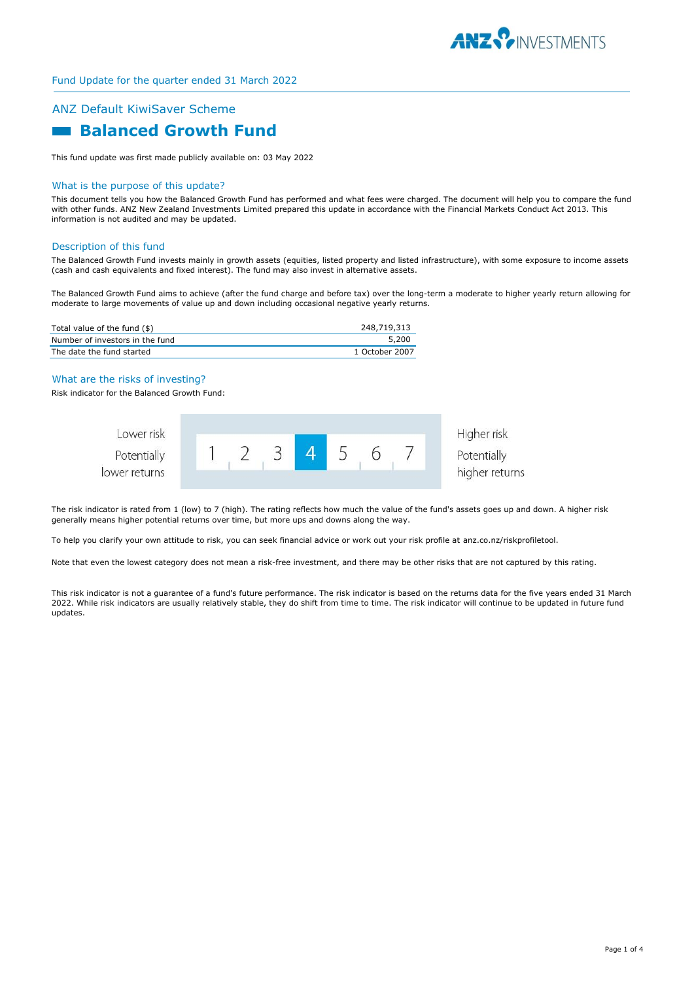

# ANZ Default KiwiSaver Scheme  **Balanced Growth Fund**

This fund update was first made publicly available on: 03 May 2022

#### What is the purpose of this update?

This document tells you how the Balanced Growth Fund has performed and what fees were charged. The document will help you to compare the fund with other funds. ANZ New Zealand Investments Limited prepared this update in accordance with the Financial Markets Conduct Act 2013. This information is not audited and may be updated.

#### Description of this fund

The Balanced Growth Fund invests mainly in growth assets (equities, listed property and listed infrastructure), with some exposure to income assets (cash and cash equivalents and fixed interest). The fund may also invest in alternative assets.

The Balanced Growth Fund aims to achieve (after the fund charge and before tax) over the long-term a moderate to higher yearly return allowing for moderate to large movements of value up and down including occasional negative yearly returns.

| Total value of the fund (\$)    | 248,719,313    |
|---------------------------------|----------------|
| Number of investors in the fund | 5,200          |
| The date the fund started       | 1 October 2007 |

#### What are the risks of investing?

Risk indicator for the Balanced Growth Fund:



The risk indicator is rated from 1 (low) to 7 (high). The rating reflects how much the value of the fund's assets goes up and down. A higher risk generally means higher potential returns over time, but more ups and downs along the way.

To help you clarify your own attitude to risk, you can seek financial advice or work out your risk profile at anz.co.nz/riskprofiletool.

Note that even the lowest category does not mean a risk-free investment, and there may be other risks that are not captured by this rating.

This risk indicator is not a guarantee of a fund's future performance. The risk indicator is based on the returns data for the five years ended 31 March 2022. While risk indicators are usually relatively stable, they do shift from time to time. The risk indicator will continue to be updated in future fund updates.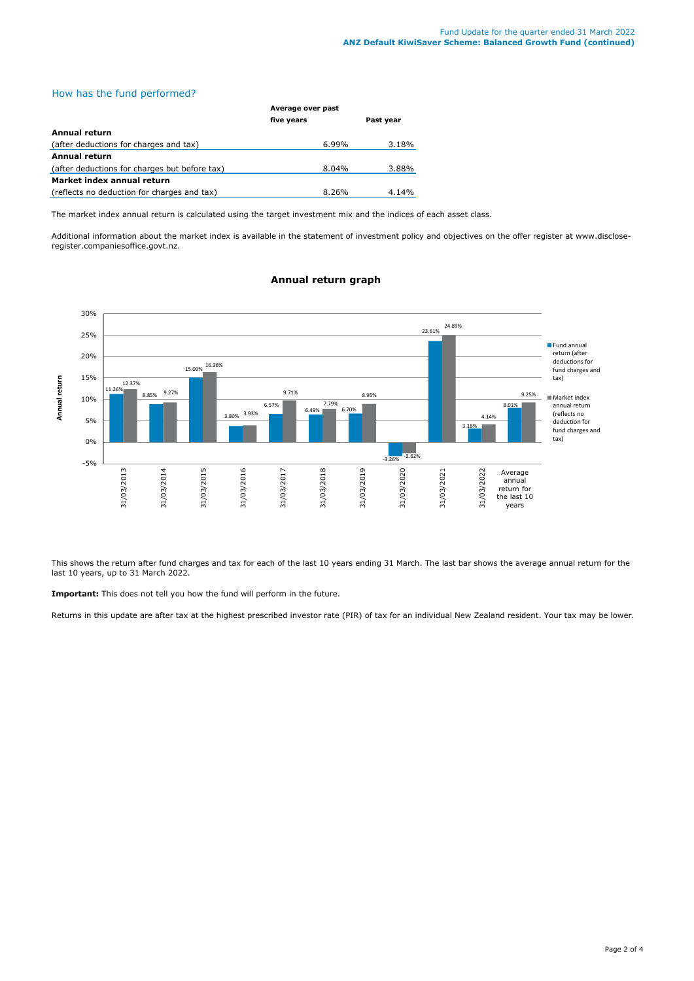# How has the fund performed?

|                                               | Average over past |           |  |
|-----------------------------------------------|-------------------|-----------|--|
|                                               | five years        | Past year |  |
| Annual return                                 |                   |           |  |
| (after deductions for charges and tax)        | $6.99\%$          | 3.18%     |  |
| <b>Annual return</b>                          |                   |           |  |
| (after deductions for charges but before tax) | $8.04\%$          | 3.88%     |  |
| Market index annual return                    |                   |           |  |
| (reflects no deduction for charges and tax)   | 8.26%             | 4.14%     |  |

The market index annual return is calculated using the target investment mix and the indices of each asset class.

Additional information about the market index is available in the statement of investment policy and objectives on the offer register at www.discloseregister.companiesoffice.govt.nz.



# **Annual return graph**

This shows the return after fund charges and tax for each of the last 10 years ending 31 March. The last bar shows the average annual return for the last 10 years, up to 31 March 2022.

**Important:** This does not tell you how the fund will perform in the future.

Returns in this update are after tax at the highest prescribed investor rate (PIR) of tax for an individual New Zealand resident. Your tax may be lower.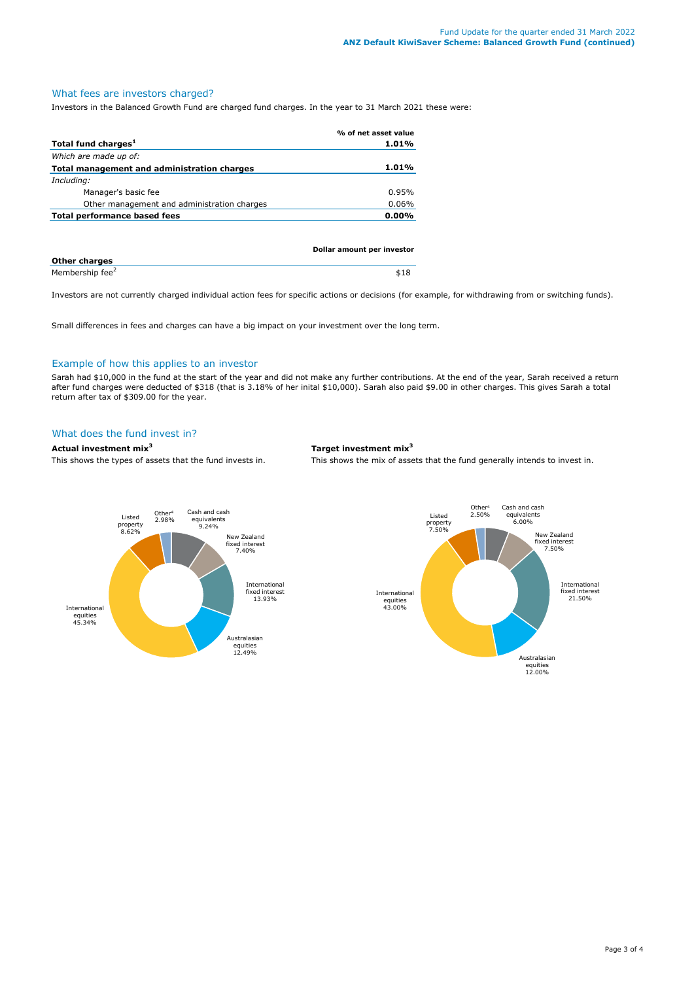# What fees are investors charged?

Investors in the Balanced Growth Fund are charged fund charges. In the year to 31 March 2021 these were:

|                                             | % of net asset value       |
|---------------------------------------------|----------------------------|
| Total fund charges <sup>1</sup>             | 1.01%                      |
| Which are made up of:                       |                            |
| Total management and administration charges | $1.01\%$                   |
| Including:                                  |                            |
| Manager's basic fee                         | 0.95%                      |
| Other management and administration charges | $0.06\%$                   |
| Total performance based fees                | $0.00\%$                   |
|                                             |                            |
|                                             |                            |
|                                             | Dollar amount per investor |

| <b>Other charges</b>        |  |
|-----------------------------|--|
| Membership fee <sup>2</sup> |  |

Investors are not currently charged individual action fees for specific actions or decisions (for example, for withdrawing from or switching funds).

Small differences in fees and charges can have a big impact on your investment over the long term.

#### Example of how this applies to an investor

Sarah had \$10,000 in the fund at the start of the year and did not make any further contributions. At the end of the year, Sarah received a return after fund charges were deducted of \$318 (that is 3.18% of her inital \$10,000). Sarah also paid \$9.00 in other charges. This gives Sarah a total return after tax of \$309.00 for the year.

# What does the fund invest in?

# **Actual investment mix<sup>3</sup> Target investment mix<sup>3</sup>**

This shows the types of assets that the fund invests in. This shows the mix of assets that the fund generally intends to invest in.